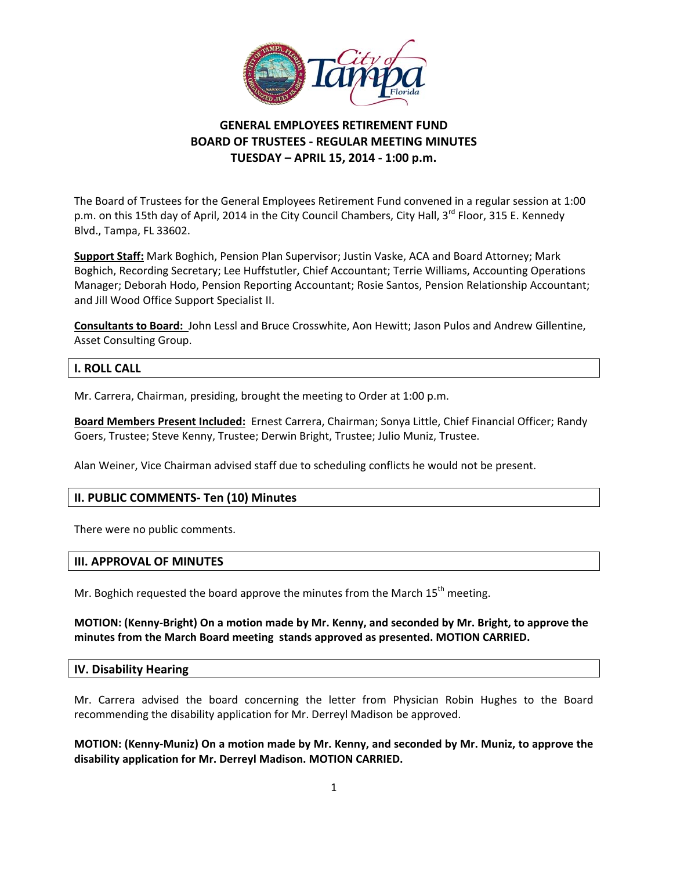

# **GENERAL EMPLOYEES RETIREMENT FUND BOARD OF TRUSTEES ‐ REGULAR MEETING MINUTES TUESDAY – APRIL 15, 2014 ‐ 1:00 p.m.**

 The Board of Trustees for the General Employees Retirement Fund convened in a regular session at 1:00 p.m. on this 15th day of April, 2014 in the City Council Chambers, City Hall, 3<sup>rd</sup> Floor, 315 E. Kennedy Blvd., Tampa, FL 33602.

 **Support Staff:** Mark Boghich, Pension Plan Supervisor; Justin Vaske, ACA and Board Attorney; Mark Boghich, Recording Secretary; Lee Huffstutler, Chief Accountant; Terrie Williams, Accounting Operations Manager; Deborah Hodo, Pension Reporting Accountant; Rosie Santos, Pension Relationship Accountant; and Jill Wood Office Support Specialist II.

 **Consultants to Board:** John Lessl and Bruce Crosswhite, Aon Hewitt; Jason Pulos and Andrew Gillentine, Asset Consulting Group.

## **I. ROLL CALL**

Mr. Carrera, Chairman, presiding, brought the meeting to Order at 1:00 p.m.

 **Board Members Present Included:** Ernest Carrera, Chairman; Sonya Little, Chief Financial Officer; Randy Goers, Trustee; Steve Kenny, Trustee; Derwin Bright, Trustee; Julio Muniz, Trustee.

Alan Weiner, Vice Chairman advised staff due to scheduling conflicts he would not be present.

## **II. PUBLIC COMMENTS‐ Ten (10) Minutes**

There were no public comments.

## **III. APPROVAL OF MINUTES**

Mr. Boghich requested the board approve the minutes from the March  $15^{th}$  meeting.

#### MOTION: (Kenny-Bright) On a motion made by Mr. Kenny, and seconded by Mr. Bright, to approve the  **minutes from the March Board meeting stands approved as presented. MOTION CARRIED.**

### **IV. Disability Hearing**

 Mr. Carrera advised the board concerning the letter from Physician Robin Hughes to the Board recommending the disability application for Mr. Derreyl Madison be approved.

MOTION: (Kenny-Muniz) On a motion made by Mr. Kenny, and seconded by Mr. Muniz, to approve the  **disability application for Mr. Derreyl Madison. MOTION CARRIED.**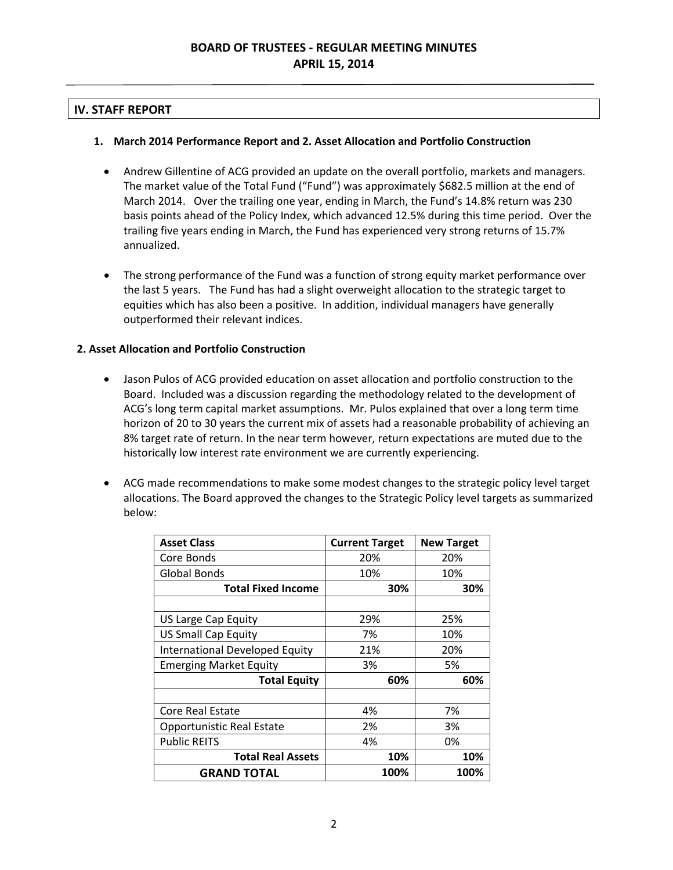# **IV. STAFF REPORT**

## **1. March 2014 Performance Report and 2. Asset Allocation and Portfolio Construction**

- Andrew Gillentine of ACG provided an update on the overall portfolio, markets and managers. The market value of the Total Fund ("Fund") was approximately \$682.5 million at the end of March 2014. Over the trailing one year, ending in March, the Fund's 14.8% return was 230 basis points ahead of the Policy Index, which advanced 12.5% during this time period. Over the trailing five years ending in March, the Fund has experienced very strong returns of 15.7% annualized.
- The strong performance of the Fund was a function of strong equity market performance over the last 5 years. The Fund has had a slight overweight allocation to the strategic target to equities which has also been a positive. In addition, individual managers have generally outperformed their relevant indices.

## **2. Asset Allocation and Portfolio Construction**

- Jason Pulos of ACG provided education on asset allocation and portfolio construction to the Board. Included was a discussion regarding the methodology related to the development of ACG's long term capital market assumptions. Mr. Pulos explained that over a long term time horizon of 20 to 30 years the current mix of assets had a reasonable probability of achieving an 8% target rate of return. In the near term however, return expectations are muted due to the historically low interest rate environment we are currently experiencing.
- ACG made recommendations to make some modest changes to the strategic policy level target allocations. The Board approved the changes to the Strategic Policy level targets as summarized below:

| <b>Asset Class</b>             | <b>Current Target</b> | <b>New Target</b> |
|--------------------------------|-----------------------|-------------------|
| Core Bonds                     | 20%                   | 20%               |
| <b>Global Bonds</b>            | 10%                   | 10%               |
| <b>Total Fixed Income</b>      | 30%                   | 30%               |
|                                |                       |                   |
| US Large Cap Equity            | 29%                   | 25%               |
| <b>US Small Cap Equity</b>     | 7%                    | 10%               |
| International Developed Equity | 21%                   | 20%               |
| <b>Emerging Market Equity</b>  | 3%                    | 5%                |
| <b>Total Equity</b>            | 60%                   | 60%               |
|                                |                       |                   |
| <b>Core Real Estate</b>        | 4%                    | 7%                |
| Opportunistic Real Estate      | 2%                    | 3%                |
| <b>Public REITS</b>            | 4%                    | 0%                |
| <b>Total Real Assets</b>       | 10%                   | 10%               |
| <b>GRAND TOTAL</b>             | 100%                  | 100%              |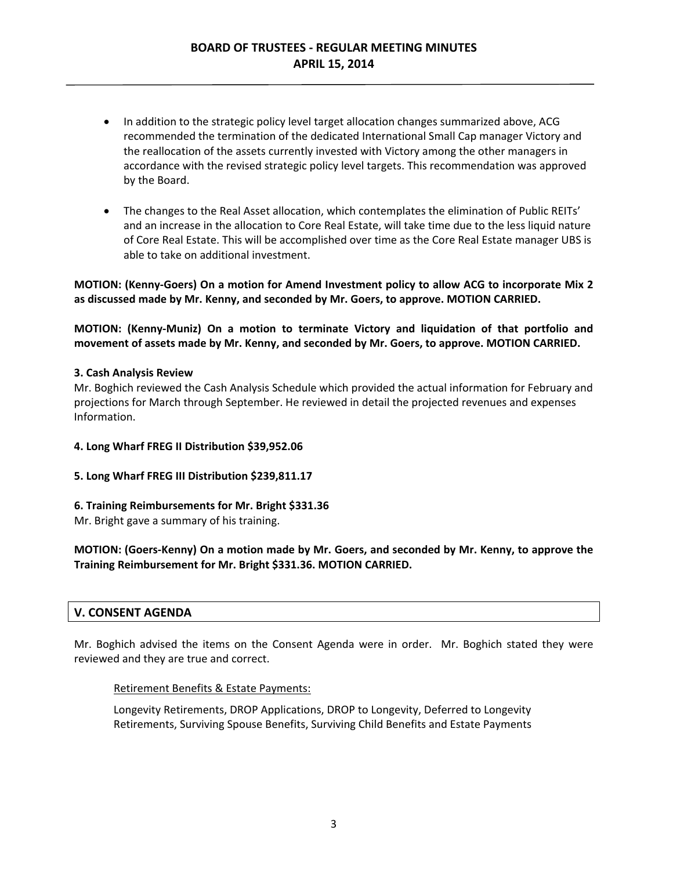- In addition to the strategic policy level target allocation changes summarized above, ACG recommended the termination of the dedicated International Small Cap manager Victory and the reallocation of the assets currently invested with Victory among the other managers in accordance with the revised strategic policy level targets. This recommendation was approved by the Board.
- The changes to the Real Asset allocation, which contemplates the elimination of Public REITs' and an increase in the allocation to Core Real Estate, will take time due to the less liquid nature of Core Real Estate. This will be accomplished over time as the Core Real Estate manager UBS is able to take on additional investment.

MOTION: (Kenny-Goers) On a motion for Amend Investment policy to allow ACG to incorporate Mix 2 as discussed made by Mr. Kenny, and seconded by Mr. Goers, to approve. MOTION CARRIED.

MOTION: (Kenny-Muniz) On a motion to terminate Victory and liquidation of that portfolio and movement of assets made by Mr. Kenny, and seconded by Mr. Goers, to approve. MOTION CARRIED.

#### **3. Cash Analysis Review**

 Mr. Boghich reviewed the Cash Analysis Schedule which provided the actual information for February and projections for March through September. He reviewed in detail the projected revenues and expenses Information.

 **4. Long Wharf FREG II Distribution \$39,952.06**

#### **5. Long Wharf FREG III Distribution \$239,811.17**

#### **6. Training Reimbursements for Mr. Bright \$331.36**

Mr. Bright gave a summary of his training.

MOTION: (Goers-Kenny) On a motion made by Mr. Goers, and seconded by Mr. Kenny, to approve the  **Training Reimbursement for Mr. Bright \$331.36. MOTION CARRIED.**

## **V. CONSENT AGENDA**

 Mr. Boghich advised the items on the Consent Agenda were in order. Mr. Boghich stated they were reviewed and they are true and correct.

### Retirement Benefits & Estate Payments:

 Longevity Retirements, DROP Applications, DROP to Longevity, Deferred to Longevity Retirements, Surviving Spouse Benefits, Surviving Child Benefits and Estate Payments